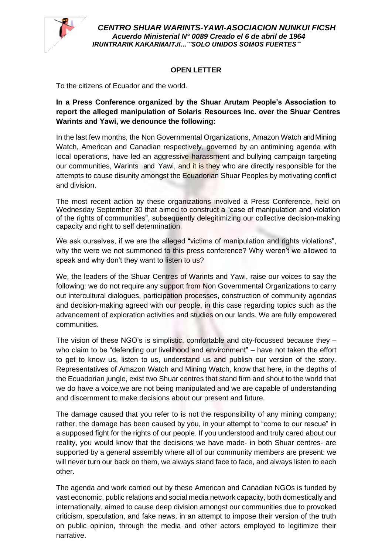

*CENTRO SHUAR WARINTS-YAWI-ASOCIACION NUNKUI FICSH Acuerdo Ministerial N° 0089 Creado el 6 de abril de 1964 IRUNTRARIK KAKARMAITJI…¨¨SOLO UNIDOS SOMOS FUERTES¨¨*

## **OPEN LETTER**

To the citizens of Ecuador and the world.

**In a Press Conference organized by the Shuar Arutam People's Association to report the alleged manipulation of Solaris Resources Inc. over the Shuar Centres Warints and Yawi, we denounce the following:** 

In the last few months, the Non Governmental Organizations, Amazon Watch andMining Watch, American and Canadian respectively, governed by an antimining agenda with local operations, have led an aggressive harassment and bullying campaign targeting our communities, Warints and Yawi, and it is they who are directly responsible for the attempts to cause disunity amongst the Ecuadorian Shuar Peoples by motivating conflict and division.

The most recent action by these organizations involved a Press Conference, held on Wednesday September 30 that aimed to construct a "case of manipulation and violation of the rights of communities", subsequently delegitimizing our collective decision-making capacity and right to self determination.

We ask ourselves, if we are the alleged "victims of manipulation and rights violations", why the were we not summoned to this press conference? Why weren't we allowed to speak and why don't they want to listen to us?

We, the leaders of the Shuar Centres of Warints and Yawi, raise our voices to say the following: we do not require any support from Non Governmental Organizations to carry out intercultural dialogues, participation processes, construction of community agendas and decision-making agreed with our people, in this case regarding topics such as the advancement of exploration activities and studies on our lands. We are fully empowered communities.

The vision of these NGO's is simplistic, comfortable and city-focussed because they – who claim to be "defending our livelihood and environment" – have not taken the effort to get to know us, listen to us, understand us and publish our version of the story. Representatives of Amazon Watch and Mining Watch, know that here, in the depths of the Ecuadorian jungle, exist two Shuar centres that stand firm and shout to the world that we do have a voice,we are not being manipulated and we are capable of understanding and discernment to make decisions about our present and future.

The damage caused that you refer to is not the responsibility of any mining company; rather, the damage has been caused by you, in your attempt to "come to our rescue" in a supposed fight for the rights of our people. If you understood and truly cared about our reality, you would know that the decisions we have made- in both Shuar centres- are supported by a general assembly where all of our community members are present: we will never turn our back on them, we always stand face to face, and always listen to each other.

The agenda and work carried out by these American and Canadian NGOs is funded by vast economic, public relations and social media network capacity, both domestically and internationally, aimed to cause deep division amongst our communities due to provoked criticism, speculation, and fake news, in an attempt to impose their version of the truth on public opinion, through the media and other actors employed to legitimize their narrative.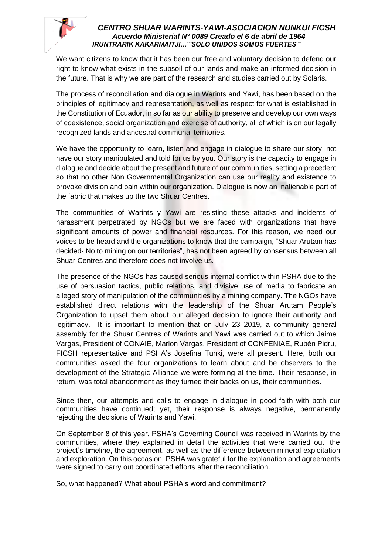

## *CENTRO SHUAR WARINTS-YAWI-ASOCIACION NUNKUI FICSH Acuerdo Ministerial N° 0089 Creado el 6 de abril de 1964 IRUNTRARIK KAKARMAITJI…¨¨SOLO UNIDOS SOMOS FUERTES¨¨*

We want citizens to know that it has been our free and voluntary decision to defend our right to know what exists in the subsoil of our lands and make an informed decision in the future. That is why we are part of the research and studies carried out by Solaris.

The process of reconciliation and dialogue in Warints and Yawi, has been based on the principles of legitimacy and representation, as well as respect for what is established in the Constitution of Ecuador, in so far as our ability to preserve and develop our own ways of coexistence, social organization and exercise of authority, all of which is on our legally recognized lands and ancestral communal territories.

We have the opportunity to learn, listen and engage in dialogue to share our story, not have our story manipulated and told for us by you. Our story is the capacity to engage in dialogue and decide about the present and future of our communities, setting a precedent so that no other Non Governmental Organization can use our reality and existence to provoke division and pain within our organization. Dialogue is now an inalienable part of the fabric that makes up the two Shuar Centres.

The communities of Warints y Yawi are resisting these attacks and incidents of harassment perpetrated by NGOs but we are faced with organizations that have significant amounts of power and financial resources. For this reason, we need our voices to be heard and the organizations to know that the campaign, "Shuar Arutam has decided- No to mining on our territories", has not been agreed by consensus between all Shuar Centres and therefore does not involve us.

The presence of the NGOs has caused serious internal conflict within PSHA due to the use of persuasion tactics, public relations, and divisive use of media to fabricate an alleged story of manipulation of the communities by a mining company. The NGOs have established direct relations with the leadership of the Shuar Arutam People's Organization to upset them about our alleged decision to ignore their authority and legitimacy. It is important to mention that on July 23 2019, a community general assembly for the Shuar Centres of Warints and Yawi was carried out to which Jaime Vargas, President of CONAIE, Marlon Vargas, President of CONFENIAE, Rubén Pidru, FICSH representative and PSHA's Josefina Tunki, were all present. Here, both our communities asked the four organizations to learn about and be observers to the development of the Strategic Alliance we were forming at the time. Their response, in return, was total abandonment as they turned their backs on us, their communities.

Since then, our attempts and calls to engage in dialogue in good faith with both our communities have continued; yet, their response is always negative, permanently rejecting the decisions of Warints and Yawi.

On September 8 of this year, PSHA's Governing Council was received in Warints by the communities, where they explained in detail the activities that were carried out, the project's timeline, the agreement, as well as the difference between mineral exploitation and exploration. On this occasion, PSHA was grateful for the explanation and agreements were signed to carry out coordinated efforts after the reconciliation.

So, what happened? What about PSHA's word and commitment?